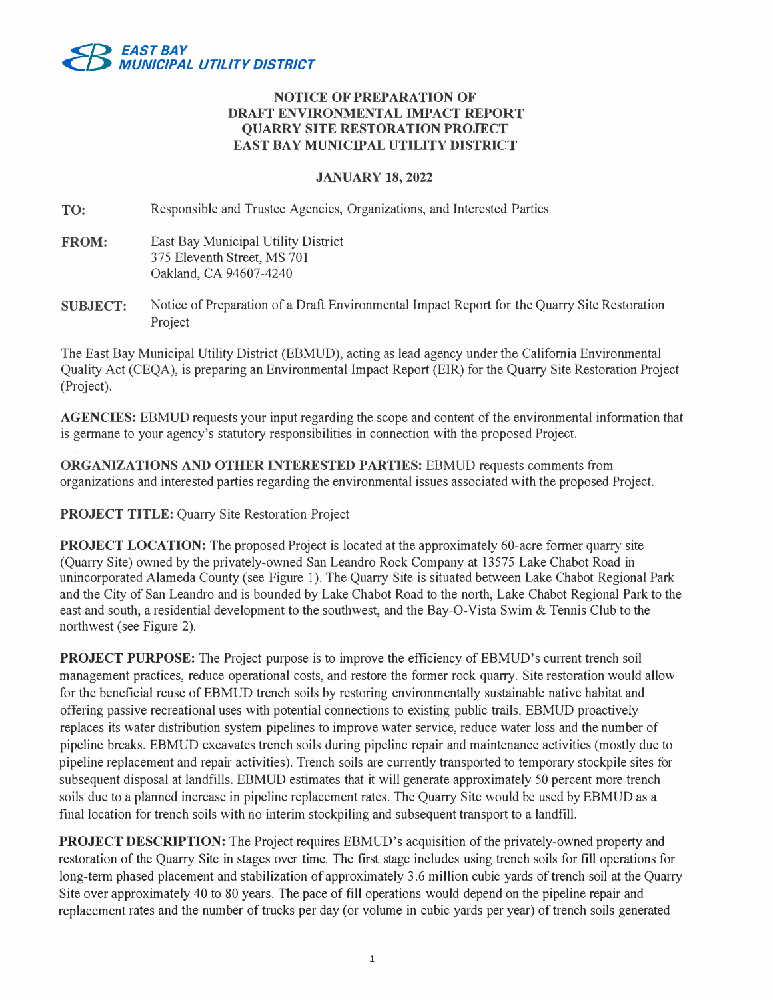

## **NOTICE OF PREPARATION OF DRAFT ENVIRONMENTAL IMPACT REPORT QUARRY SITE RESTORATION PROJECT EAST BAY MUNICIPAL UTILITY DISTRICT**

## **JANUARY 18, 2022**

**TO:**  Responsible and Trustee Agencies, Organizations, and Interested Parties

- **FROM:**  East Bay Municipal Utility District 375 Eleventh Street, MS 701 Oakland, CA 94607-4240
- **SUBJECT:**  Notice of Preparation of a Draft Environmental Impact Report for the Quarry Site Restoration Project

The East Bay Municipal Utility District (EBMUD), acting as lead agency under the California Environmental Quality Act (CEQA), is preparing an Environmental Impact Report (EIR) for the Quarry Site Restoration Project (Project).

**AGENCIES:** EBMUD requests your input regarding the scope and content of the environmental information that is germane to your agency's statutory responsibilities in connection with the proposed Project.

**ORGANIZATIONS AND OTHER INTERESTED PARTIES:** EBMUD requests comments from organizations and interested parties regarding the environmental issues associated with the proposed Project.

**PROJECT TITLE:** Quarry Site Restoration Project

**PROJECT LOCATION:** The proposed Project is located at the approximately 60-acre former quarry site (Quarry Site) owned by the privately-owned San Leandro Rock Company at 13575 Lake Chabot Road in unincorporated Alameda County (see Figure 1). The Quarry Site is situated between Lake Chabot Regional Park and the City of San Leandro and is bounded by Lake Chabot Road to the north, Lake Chabot Regional Park to the east and south, a residential development to the southwest, and the Bay-O-Vista Swim & Tennis Club to the northwest (see Figure 2).

**PROJECT PURPOSE:** The Project purpose is to improve the efficiency of EBMUD's current trench soil management practices, reduce operational costs, and restore the former rock quarry. Site restoration would allow for the beneficial reuse of EBMUD trench soils by restoring environmentally sustainable native habitat and offering passive recreational uses with potential connections to existing public trails. EBMUD proactively replaces its water distribution system pipelines to improve water service, reduce water loss and the number of pipeline breaks. EBMUD excavates trench soils during pipeline repair and maintenance activities (mostly due to pipeline replacement and repair activities). Trench soils are currently transported to temporary stockpile sites for subsequent disposal at landfills. EBMUD estimates that it will generate approximately 50 percent more trench soils due to a planned increase in pipeline replacement rates. The Quarry Site would be used by EBMUD as a final location for trench soils with no interim stockpiling and subsequent transport to a landfill.

**PROJECT DESCRIPTION:** The Project requires EBMUD's acquisition of the privately-owned property and restoration of the Quarry Site in stages over time. The first stage includes using trench soils for fill operations for long-term phased placement and stabilization of approximately 3 .6 million cubic yards of trench soil at the Quarry Site over approximately 40 to 80 years. The pace of fill operations would depend on the pipeline repair and replacement rates and the number of trucks per day (or volume in cubic yards per year) of trench soils generated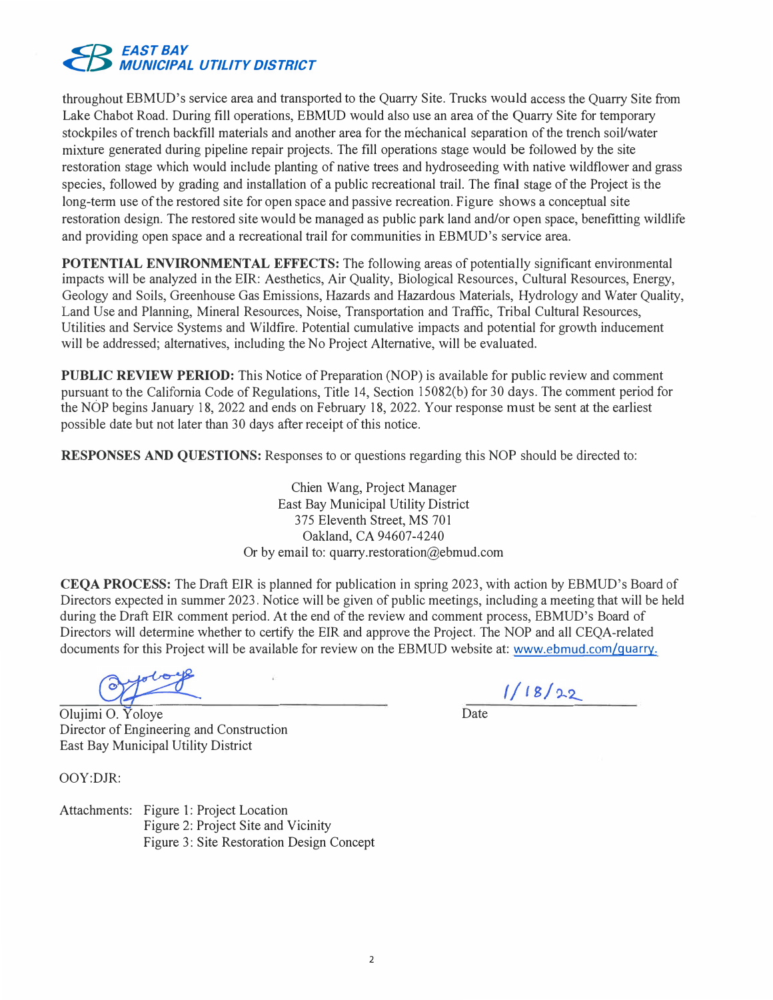

throughout EBMUD's service area and transported to the Quarry Site. Trucks would access the Quarry Site from Lake Chabot Road. During fill operations, EBMUD would also use an area of the Quarry Site for temporary stockpiles of trench backfill materials and another area for the mechanical separation of the trench soil/water mixture generated during pipeline repair projects. The fill operations stage would be followed by the site restoration stage which would include planting of native trees and hydroseeding with native wildflower and grass species, followed by grading and installation of a public recreational trail. The final stage of the Project is the long-term use of the restored site for open space and passive recreation. Figure shows a conceptual site restoration design. The restored site would be managed as public park land and/or open space, benefitting wildlife and providing open space and a recreational trail for communities in EBMUD's service area.

**POTENTIAL ENVIRONMENTAL EFFECTS:** The following areas of potentially significant environmental impacts will be analyzed in the EIR: Aesthetics, Air Quality, Biological Resources, Cultural Resources, Energy, Geology and Soils, Greenhouse Gas Emissions, Hazards and Hazardous Materials, Hydrology and Water Quality, Land Use and Planning, Mineral Resources, Noise, Transportation and Traffic, Tribal Cultural Resources, Utilities and Service Systems and Wildfire. Potential cumulative impacts and potential for growth inducement will be addressed; alternatives, including the No Project Alternative, will be evaluated.

**PUBLIC REVIEW PERIOD:** This Notice of Preparation (NOP) is available for public review and comment pursuant to the California Code of Regulations, Title 14, Section 15082(b) for 30 days. The comment period for the NOP begins January 18, 2022 and ends on February 18, 2022. Your response must be sent at the earliest possible date but not later than 30 days after receipt of this notice.

**RESPONSES AND QUESTIONS:** Responses to or questions regarding this NOP should be directed to:

Chien Wang, Project Manager East Bay Municipal Utility District 375 Eleventh Street, MS 701 Oakland, CA 94607-4240 Or by email to: quarry.restoration@ebmud.com

**CEQA PROCESS:** The Draft EIR is planned for publication in spring 2023, with action by EBMUD's Board of Directors expected in summer 2023. Notice will be given of public meetings, including a meeting that will be held during the Draft EIR comment period. At the end of the review and comment process, EBMUD's Board of Directors will determine whether to certify the EIR and approve the Project. The NOP and all CEQA-related documents for this Project will be available for review on the EBMUD website at: www.ebmud.com/quarry.

 $1/18/22$ 

Olujimi 0. Yoloye Director of Engineering and Construction East Bay Municipal Utility District

OOY:DJR:

Attachments: Figure I: Project Location Figure 2: Project Site and Vicinity Figure 3: Site Restoration Design Concept **Date**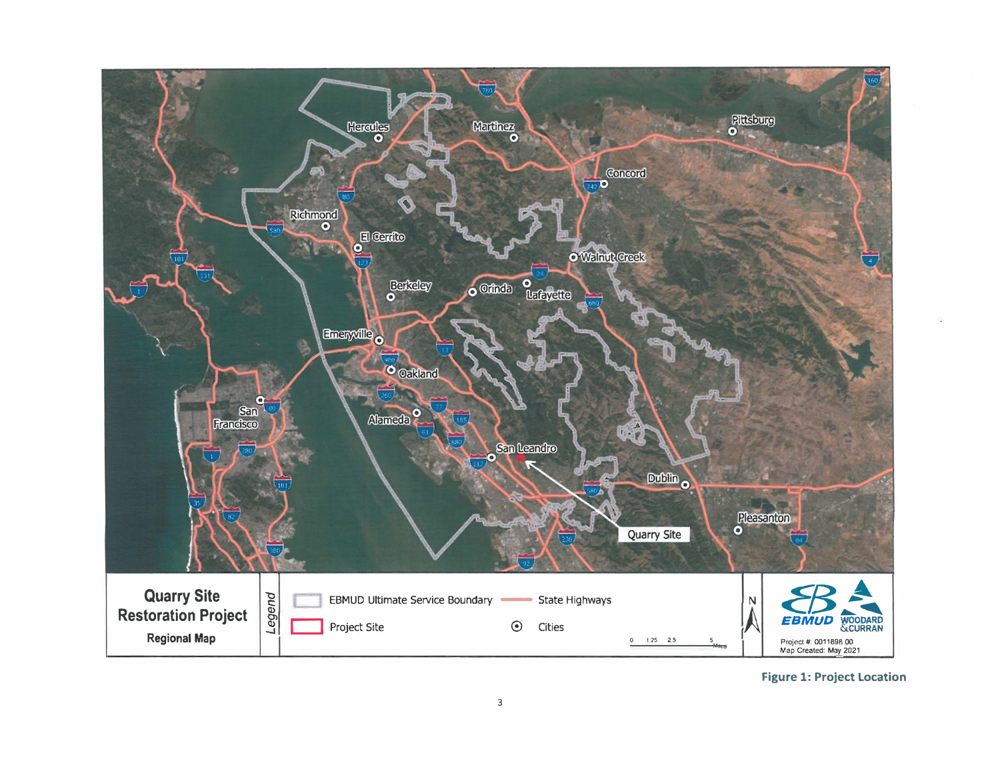

**Figure 1: Project Location**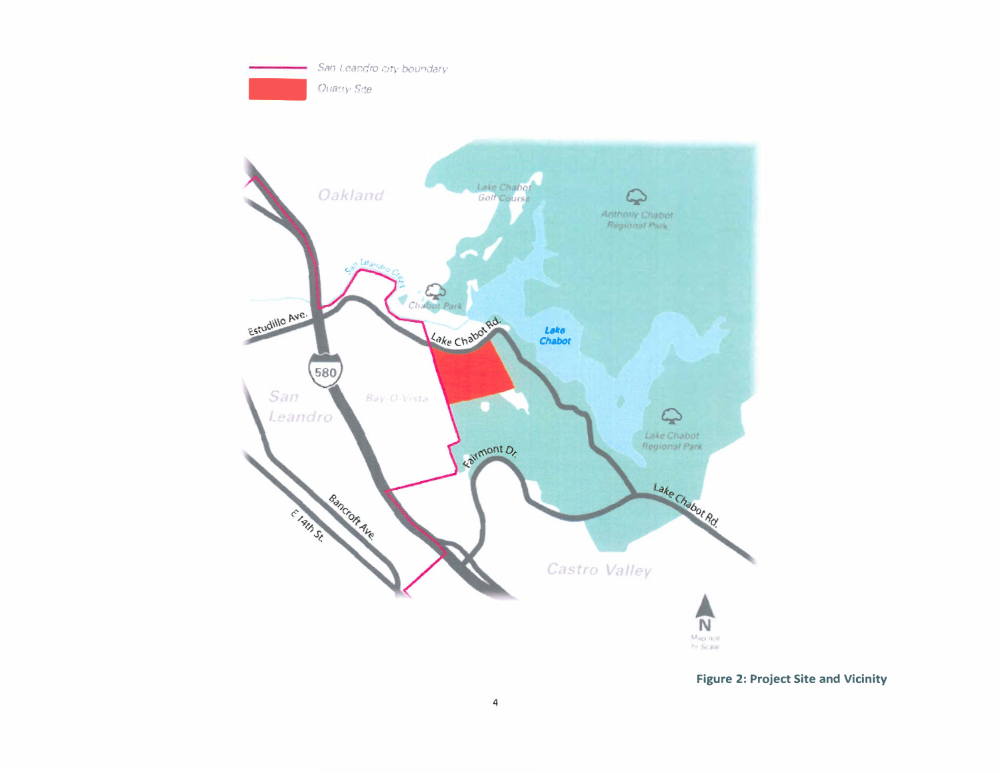



**Figure 2: Project Site and Vicinity**